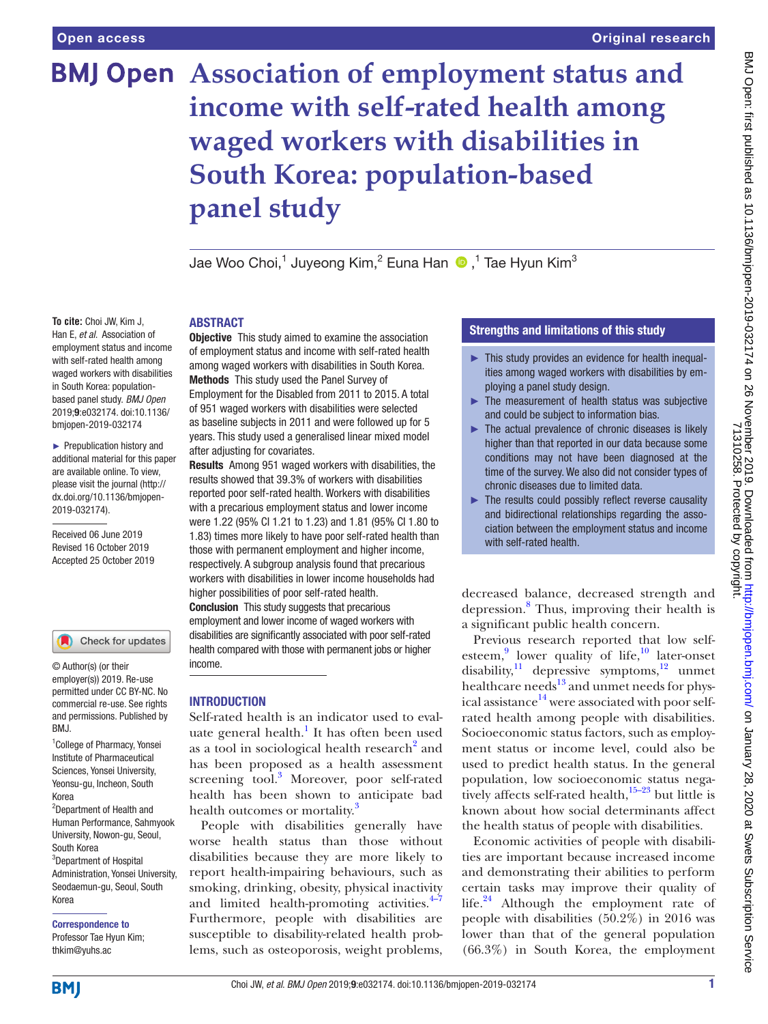# **BMJ Open Association of employment status and income with self-rated health among waged workers with disabilities in South Korea: population-based panel study**

Jae Woo Choi, $^1$  Juyeong Kim, $^2$  Euna Han  $\,^1\!$  Tae Hyun Kim $^3$ 

#### **To cite:** Choi JW, Kim J, Han E, *et al*. Association of employment status and income with self-rated health among waged workers with disabilities in South Korea: populationbased panel study. *BMJ Open* 2019;9:e032174. doi:10.1136/ bmjopen-2019-032174

► Prepublication history and additional material for this paper are available online. To view, please visit the journal (http:// dx.doi.org/10.1136/bmjopen-2019-032174).

Received 06 June 2019 Revised 16 October 2019 Accepted 25 October 2019

#### Check for updates

© Author(s) (or their employer(s)) 2019. Re-use permitted under CC BY-NC. No commercial re-use. See rights and permissions. Published by RM<sub>J</sub>

<sup>1</sup> College of Pharmacy, Yonsei Institute of Pharmaceutical Sciences, Yonsei University, Yeonsu-gu, Incheon, South Korea

<sup>2</sup>Department of Health and Human Performance, Sahmyook University, Nowon-gu, Seoul, South Korea <sup>3</sup>Department of Hospital Administration, Yonsei University, Seodaemun-gu, Seoul, South Korea

Correspondence to Professor Tae Hyun Kim; thkim@yuhs.ac

# **ARSTRACT**

**Objective** This study aimed to examine the association of employment status and income with self-rated health among waged workers with disabilities in South Korea. Methods This study used the Panel Survey of Employment for the Disabled from 2011 to 2015. A total of 951 waged workers with disabilities were selected as baseline subjects in 2011 and were followed up for 5 years. This study used a generalised linear mixed model

after adjusting for covariates. Results Among 951 waged workers with disabilities, the results showed that 39.3% of workers with disabilities reported poor self-rated health. Workers with disabilities with a precarious employment status and lower income were 1.22 (95% CI 1.21 to 1.23) and 1.81 (95% CI 1.80 to 1.83) times more likely to have poor self-rated health than

those with permanent employment and higher income, respectively. A subgroup analysis found that precarious workers with disabilities in lower income households had higher possibilities of poor self-rated health. **Conclusion** This study suggests that precarious employment and lower income of waged workers with disabilities are significantly associated with poor self-rated health compared with those with permanent jobs or higher

# **INTRODUCTION**

income.

Self-rated health is an indicator used to evaluate general health.<sup>1</sup> It has often been used as a tool in sociological health research<sup>[2](#page-5-1)</sup> and has been proposed as a health assessment screening tool.<sup>3</sup> Moreover, poor self-rated health has been shown to anticipate bad health outcomes or mortality.<sup>[3](#page-5-2)</sup>

People with disabilities generally have worse health status than those without disabilities because they are more likely to report health-impairing behaviours, such as smoking, drinking, obesity, physical inactivity and limited health-promoting activities. $4\frac{4}{7}$ Furthermore, people with disabilities are susceptible to disability-related health problems, such as osteoporosis, weight problems,

# Strengths and limitations of this study

- ► This study provides an evidence for health inequalities among waged workers with disabilities by employing a panel study design.
- $\blacktriangleright$  The measurement of health status was subjective and could be subject to information bias.
- ► The actual prevalence of chronic diseases is likely higher than that reported in our data because some conditions may not have been diagnosed at the time of the survey. We also did not consider types of chronic diseases due to limited data.
- ► The results could possibly reflect reverse causality and bidirectional relationships regarding the association between the employment status and income with self-rated health.

decreased balance, decreased strength and depression.<sup>8</sup> Thus, improving their health is a significant public health concern.

Previous research reported that low selfesteem, $9$  lower quality of life, $10$  later-onset disability,<sup>11</sup> depressive symptoms,<sup>[12](#page-5-8)</sup> unmet healthcare needs $^{13}$  and unmet needs for physical assistance<sup>14</sup> were associated with poor selfrated health among people with disabilities. Socioeconomic status factors, such as employment status or income level, could also be used to predict health status. In the general population, low socioeconomic status negatively affects self-rated health, $15-23$  but little is known about how social determinants affect the health status of people with disabilities.

Economic activities of people with disabilities are important because increased income and demonstrating their abilities to perform certain tasks may improve their quality of life. $^{24}$  Although the employment rate of people with disabilities (50.2%) in 2016 was lower than that of the general population (66.3%) in South Korea, the employment

**BMI**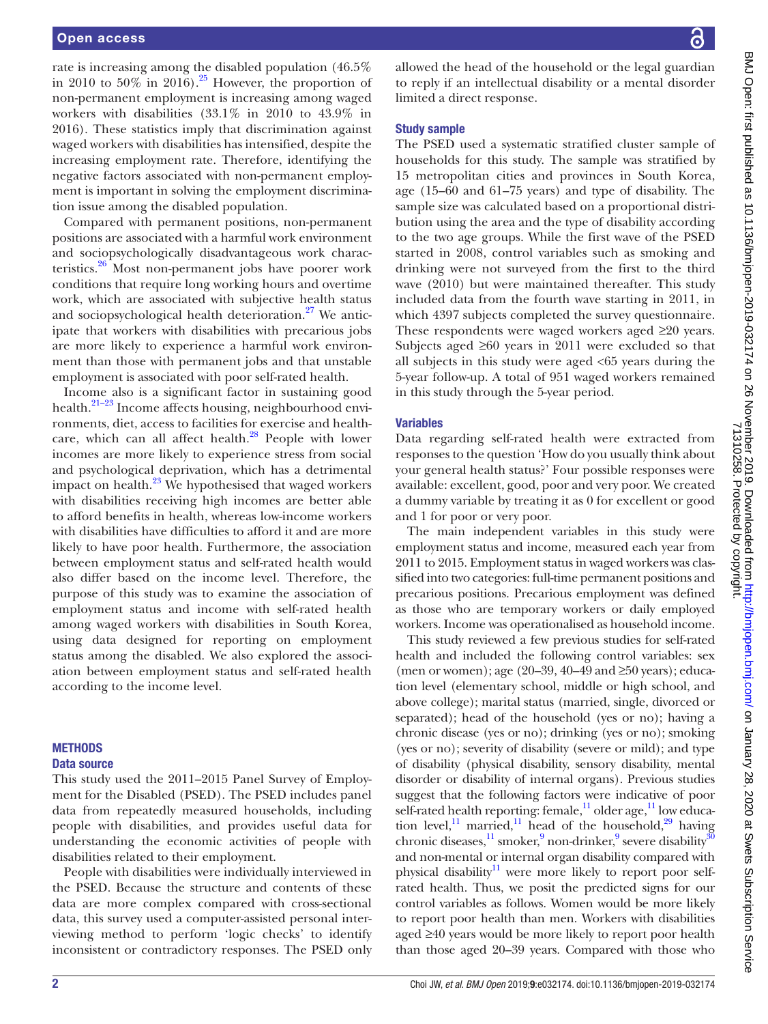rate is increasing among the disabled population (46.5% in 2010 to 50% in 2016).<sup>[25](#page-5-13)</sup> However, the proportion of non-permanent employment is increasing among waged workers with disabilities (33.1% in 2010 to 43.9% in 2016). These statistics imply that discrimination against waged workers with disabilities has intensified, despite the increasing employment rate. Therefore, identifying the negative factors associated with non-permanent employment is important in solving the employment discrimination issue among the disabled population.

Compared with permanent positions, non-permanent positions are associated with a harmful work environment and sociopsychologically disadvantageous work characteristics.<sup>26</sup> Most non-permanent jobs have poorer work conditions that require long working hours and overtime work, which are associated with subjective health status and sociopsychological health deterioration. $27$  We anticipate that workers with disabilities with precarious jobs are more likely to experience a harmful work environment than those with permanent jobs and that unstable employment is associated with poor self-rated health.

Income also is a significant factor in sustaining good health.<sup>21-23</sup> Income affects housing, neighbourhood environments, diet, access to facilities for exercise and healthcare, which can all affect health. $^{28}$  People with lower incomes are more likely to experience stress from social and psychological deprivation, which has a detrimental impact on health.<sup>23</sup> We hypothesised that waged workers with disabilities receiving high incomes are better able to afford benefits in health, whereas low-income workers with disabilities have difficulties to afford it and are more likely to have poor health. Furthermore, the association between employment status and self-rated health would also differ based on the income level. Therefore, the purpose of this study was to examine the association of employment status and income with self-rated health among waged workers with disabilities in South Korea, using data designed for reporting on employment status among the disabled. We also explored the association between employment status and self-rated health according to the income level.

# **METHODS**

#### Data source

This study used the 2011–2015 Panel Survey of Employment for the Disabled (PSED). The PSED includes panel data from repeatedly measured households, including people with disabilities, and provides useful data for understanding the economic activities of people with disabilities related to their employment.

People with disabilities were individually interviewed in the PSED. Because the structure and contents of these data are more complex compared with cross-sectional data, this survey used a computer-assisted personal interviewing method to perform 'logic checks' to identify inconsistent or contradictory responses. The PSED only

allowed the head of the household or the legal guardian to reply if an intellectual disability or a mental disorder limited a direct response.

# Study sample

The PSED used a systematic stratified cluster sample of households for this study. The sample was stratified by 15 metropolitan cities and provinces in South Korea, age (15–60 and 61–75 years) and type of disability. The sample size was calculated based on a proportional distribution using the area and the type of disability according to the two age groups. While the first wave of the PSED started in 2008, control variables such as smoking and drinking were not surveyed from the first to the third wave (2010) but were maintained thereafter. This study included data from the fourth wave starting in 2011, in which 4397 subjects completed the survey questionnaire. These respondents were waged workers aged ≥20 years. Subjects aged ≥60 years in 2011 were excluded so that all subjects in this study were aged <65 years during the 5-year follow-up. A total of 951 waged workers remained in this study through the 5-year period.

#### Variables

Data regarding self-rated health were extracted from responses to the question 'How do you usually think about your general health status?' Four possible responses were available: excellent, good, poor and very poor. We created a dummy variable by treating it as 0 for excellent or good and 1 for poor or very poor.

The main independent variables in this study were employment status and income, measured each year from 2011 to 2015. Employment status in waged workers was classified into two categories: full-time permanent positions and precarious positions. Precarious employment was defined as those who are temporary workers or daily employed workers. Income was operationalised as household income.

This study reviewed a few previous studies for self-rated health and included the following control variables: sex (men or women); age (20–39, 40–49 and ≥50 years); education level (elementary school, middle or high school, and above college); marital status (married, single, divorced or separated); head of the household (yes or no); having a chronic disease (yes or no); drinking (yes or no); smoking (yes or no); severity of disability (severe or mild); and type of disability (physical disability, sensory disability, mental disorder or disability of internal organs). Previous studies suggest that the following factors were indicative of poor self-rated health reporting: female, $^{11}$  older age, $^{11}$  low education level,<sup>11</sup> married,<sup>11</sup> head of the household,<sup>29</sup> having chronic diseases,  $\frac{11}{2}$  smoker,  $\frac{9}{2}$  non-drinker,  $\frac{9}{2}$  severe disability  $\frac{30}{2}$ and non-mental or internal organ disability compared with physical disability $11$  were more likely to report poor selfrated health. Thus, we posit the predicted signs for our control variables as follows. Women would be more likely to report poor health than men. Workers with disabilities aged ≥40 years would be more likely to report poor health than those aged 20–39 years. Compared with those who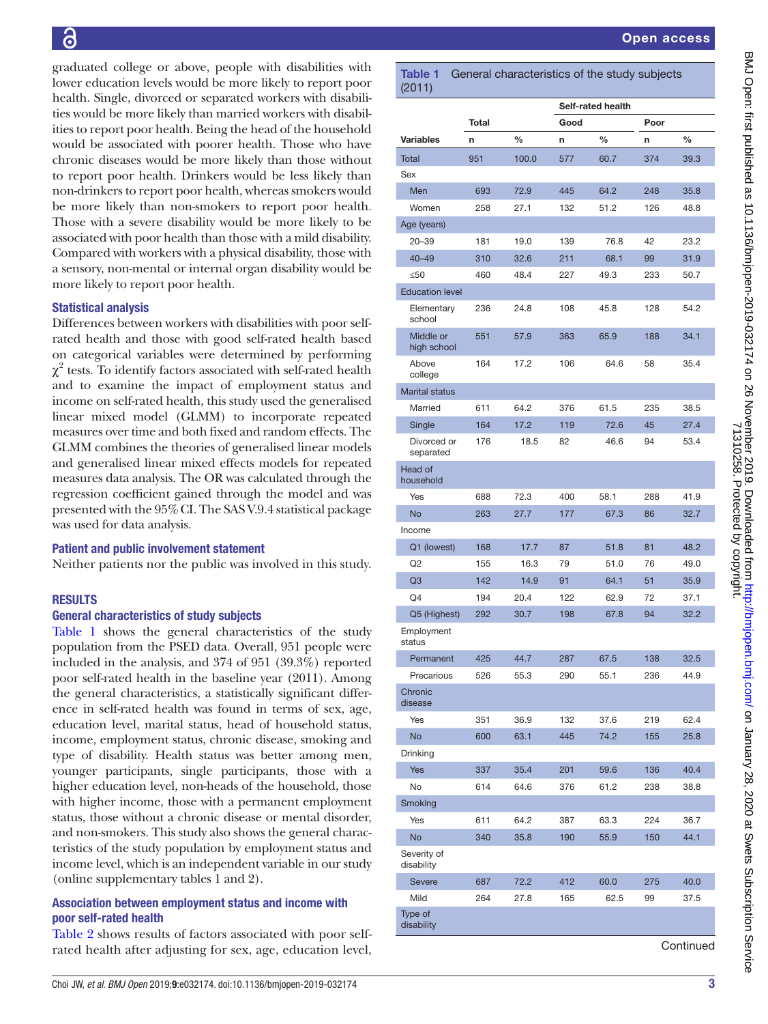graduated college or above, people with disabilities with lower education levels would be more likely to report poor health. Single, divorced or separated workers with disabilities would be more likely than married workers with disabilities to report poor health. Being the head of the household would be associated with poorer health. Those who have chronic diseases would be more likely than those without to report poor health. Drinkers would be less likely than non-drinkers to report poor health, whereas smokers would be more likely than non-smokers to report poor health. Those with a severe disability would be more likely to be associated with poor health than those with a mild disability. Compared with workers with a physical disability, those with a sensory, non-mental or internal organ disability would be more likely to report poor health.

#### Statistical analysis

Differences between workers with disabilities with poor selfrated health and those with good self-rated health based on categorical variables were determined by performing  $\chi^2$  tests. To identify factors associated with self-rated health and to examine the impact of employment status and income on self-rated health, this study used the generalised linear mixed model (GLMM) to incorporate repeated measures over time and both fixed and random effects. The GLMM combines the theories of generalised linear models and generalised linear mixed effects models for repeated measures data analysis. The OR was calculated through the regression coefficient gained through the model and was presented with the 95%CI. The SAS V.9.4 statistical package was used for data analysis.

#### Patient and public involvement statement

Neither patients nor the public was involved in this study.

#### **RESULTS**

# General characteristics of study subjects

[Table](#page-2-0) 1 shows the general characteristics of the study population from the PSED data. Overall, 951 people were included in the analysis, and 374 of 951 (39.3%) reported poor self-rated health in the baseline year (2011). Among the general characteristics, a statistically significant difference in self-rated health was found in terms of sex, age, education level, marital status, head of household status, income, employment status, chronic disease, smoking and type of disability. Health status was better among men, younger participants, single participants, those with a higher education level, non-heads of the household, those with higher income, those with a permanent employment status, those without a chronic disease or mental disorder, and non-smokers. This study also shows the general characteristics of the study population by employment status and income level, which is an independent variable in our study ([online supplementary tables 1 and 2](https://dx.doi.org/10.1136/bmjopen-2019-032174)).

### Association between employment status and income with poor self-rated health

[Table](#page-3-0) 2 shows results of factors associated with poor selfrated health after adjusting for sex, age, education level,

<span id="page-2-0"></span>Table 1 General characteristics of the study subjects (2011)

|                           |              |               |      | Self-rated health |      |               |
|---------------------------|--------------|---------------|------|-------------------|------|---------------|
|                           | <b>Total</b> |               | Good |                   | Poor |               |
| <b>Variables</b>          | n            | $\frac{0}{0}$ | n    | $\frac{0}{0}$     | n    | $\frac{0}{0}$ |
| <b>Total</b>              | 951          | 100.0         | 577  | 60.7              | 374  | 39.3          |
| Sex                       |              |               |      |                   |      |               |
| Men                       | 693          | 72.9          | 445  | 64.2              | 248  | 35.8          |
| Women                     | 258          | 27.1          | 132  | 51.2              | 126  | 48.8          |
| Age (years)               |              |               |      |                   |      |               |
| $20 - 39$                 | 181          | 19.0          | 139  | 76.8              | 42   | 23.2          |
| $40 - 49$                 | 310          | 32.6          | 211  | 68.1              | 99   | 31.9          |
| $\leq 50$                 | 460          | 48.4          | 227  | 49.3              | 233  | 50.7          |
| <b>Education level</b>    |              |               |      |                   |      |               |
| Elementary<br>school      | 236          | 24.8          | 108  | 45.8              | 128  | 54.2          |
| Middle or<br>high school  | 551          | 57.9          | 363  | 65.9              | 188  | 34.1          |
| Above<br>college          | 164          | 17.2          | 106  | 64.6              | 58   | 35.4          |
| <b>Marital status</b>     |              |               |      |                   |      |               |
| Married                   | 611          | 64.2          | 376  | 61.5              | 235  | 38.5          |
| Single                    | 164          | 17.2          | 119  | 72.6              | 45   | 27.4          |
| Divorced or<br>separated  | 176          | 18.5          | 82   | 46.6              | 94   | 53.4          |
| Head of<br>household      |              |               |      |                   |      |               |
| Yes                       | 688          | 72.3          | 400  | 58.1              | 288  | 41.9          |
| <b>No</b>                 | 263          | 27.7          | 177  | 67.3              | 86   | 32.7          |
| Income                    |              |               |      |                   |      |               |
| Q1 (lowest)               | 168          | 17.7          | 87   | 51.8              | 81   | 48.2          |
| Q <sub>2</sub>            | 155          | 16.3          | 79   | 51.0              | 76   | 49.0          |
| Q3                        | 142          | 14.9          | 91   | 64.1              | 51   | 35.9          |
| Q4                        | 194          | 20.4          | 122  | 62.9              | 72   | 37.1          |
| Q5 (Highest)              | 292          | 30.7          | 198  | 67.8              | 94   | 32.2          |
| Employment<br>status      |              |               |      |                   |      |               |
| Permanent                 | 425          | 44.7          | 287  | 67.5              | 138  | 32.5          |
| Precarious                | 526          | 55.3          | 290  | 55.1              | 236  | 44.9          |
| Chronic<br>disease        |              |               |      |                   |      |               |
| Yes                       | 351          | 36.9          | 132  | 37.6              | 219  | 62.4          |
| <b>No</b>                 | 600          | 63.1          | 445  | 74.2              | 155  | 25.8          |
| Drinking                  |              |               |      |                   |      |               |
| <b>Yes</b>                | 337          | 35.4          | 201  | 59.6              | 136  | 40.4          |
| No                        | 614          | 64.6          | 376  | 61.2              | 238  | 38.8          |
| Smoking                   |              |               |      |                   |      |               |
| Yes                       | 611          | 64.2          | 387  | 63.3              | 224  | 36.7          |
| <b>No</b>                 | 340          | 35.8          | 190  | 55.9              | 150  | 44.1          |
| Severity of<br>disability |              |               |      |                   |      |               |
| <b>Severe</b>             | 687          | 72.2          | 412  | 60.0              | 275  | 40.0          |
| Mild                      | 264          | 27.8          | 165  | 62.5              | 99   | 37.5          |
| Type of<br>disability     |              |               |      |                   |      |               |

**Continued**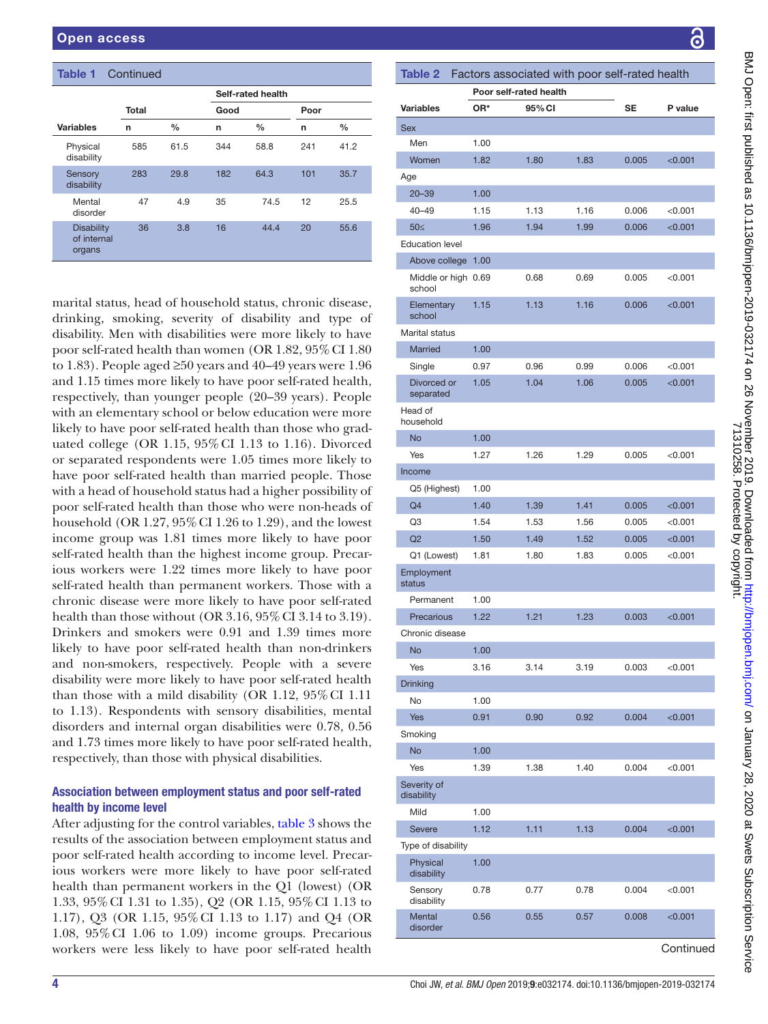| Table 1            | Continued    |               |      |                   |      |               |
|--------------------|--------------|---------------|------|-------------------|------|---------------|
|                    |              |               |      | Self-rated health |      |               |
|                    | <b>Total</b> |               | Good |                   | Poor |               |
| <b>Variables</b>   | n            | $\frac{0}{0}$ | n    | $\frac{0}{0}$     | n    | $\frac{0}{0}$ |
| Physical           | 585          | 61.5          | 344  | 58.8              | 241  | 41.2          |
| disability         |              |               |      |                   |      |               |
| Sensory            | 283          | 29.8          | 182  | 64.3              | 101  | 35.7          |
| disability         | 47           |               |      |                   |      |               |
| Mental<br>disorder |              | 4.9           | 35   | 74.5              | 12   | 25.5          |
| <b>Disability</b>  | 36           | 3.8           | 16   | 44.4              | 20   | 55.6          |
| of internal        |              |               |      |                   |      |               |
| organs             |              |               |      |                   |      |               |

Education lev Above coll Middle or ht school

Marital status Married

Head of household N<sub>o</sub>

Income Q5 (Highes

Q1 (Lowes Employment status Permanent **Precarious** Chronic dise  $N<sub>0</sub>$ 

Drinking  $N<sub>0</sub>$ 

Smoking N<sub>o</sub>

Severity of disability Mild Severe Type of disab Physical disability

**Mental** disorder

marital status, head of household status, chronic disease, drinking, smoking, severity of disability and type of disability. Men with disabilities were more likely to have poor self-rated health than women (OR 1.82, 95%CI 1.80 to 1.83). People aged ≥50 years and 40–49 years were 1.96 and 1.15 times more likely to have poor self-rated health, respectively, than younger people (20–39 years). People with an elementary school or below education were more likely to have poor self-rated health than those who graduated college (OR 1.15, 95%CI 1.13 to 1.16). Divorced or separated respondents were 1.05 times more likely to have poor self-rated health than married people. Those with a head of household status had a higher possibility of poor self-rated health than those who were non-heads of household (OR 1.27, 95%CI 1.26 to 1.29), and the lowest income group was 1.81 times more likely to have poor self-rated health than the highest income group. Precarious workers were 1.22 times more likely to have poor self-rated health than permanent workers. Those with a chronic disease were more likely to have poor self-rated health than those without (OR  $3.16$ ,  $95\%$  CI  $3.14$  to  $3.19$ ). Drinkers and smokers were 0.91 and 1.39 times more likely to have poor self-rated health than non-drinkers and non-smokers, respectively. People with a severe disability were more likely to have poor self-rated health than those with a mild disability (OR 1.12, 95%CI 1.11 to 1.13). Respondents with sensory disabilities, mental disorders and internal organ disabilities were 0.78, 0.56 and 1.73 times more likely to have poor self-rated health, respectively, than those with physical disabilities.

# Association between employment status and poor self-rated health by income level

After adjusting for the control variables, [table](#page-4-0) 3 shows the results of the association between employment status and poor self-rated health according to income level. Precarious workers were more likely to have poor self-rated health than permanent workers in the Q1 (lowest) (OR 1.33, 95%CI 1.31 to 1.35), Q2 (OR 1.15, 95%CI 1.13 to 1.17), Q3 (OR 1.15, 95%CI 1.13 to 1.17) and Q4 (OR 1.08, 95%CI 1.06 to 1.09) income groups. Precarious workers were less likely to have poor self-rated health

<span id="page-3-0"></span>

| able 2                        |                                                                 | Factors associated with poor self-rated health |      |       |           |  |
|-------------------------------|-----------------------------------------------------------------|------------------------------------------------|------|-------|-----------|--|
| ıriables                      | Poor self-rated health<br>OR*<br>95% CI<br><b>SE</b><br>P value |                                                |      |       |           |  |
|                               |                                                                 |                                                |      |       |           |  |
| эX                            |                                                                 |                                                |      |       |           |  |
| Men                           | 1.00                                                            |                                                |      |       |           |  |
| Women                         | 1.82                                                            | 1.80                                           | 1.83 | 0.005 | < 0.001   |  |
| Jе                            |                                                                 |                                                |      |       |           |  |
| $20 - 39$                     | 1.00                                                            |                                                |      |       |           |  |
| $40 - 49$                     | 1.15                                                            | 1.13                                           | 1.16 | 0.006 | < 0.001   |  |
| 50<                           | 1.96                                                            | 1.94                                           | 1.99 | 0.006 | < 0.001   |  |
| ducation level                |                                                                 |                                                |      |       |           |  |
| Above college                 | 1.00                                                            |                                                |      |       |           |  |
| Middle or high 0.69<br>school |                                                                 | 0.68                                           | 0.69 | 0.005 | < 0.001   |  |
| Elementary<br>school          | 1.15                                                            | 1.13                                           | 1.16 | 0.006 | < 0.001   |  |
| arital status                 |                                                                 |                                                |      |       |           |  |
| Married                       | 1.00                                                            |                                                |      |       |           |  |
| Single                        | 0.97                                                            | 0.96                                           | 0.99 | 0.006 | $<$ 0.001 |  |
| Divorced or<br>separated      | 1.05                                                            | 1.04                                           | 1.06 | 0.005 | < 0.001   |  |
| ead of<br>usehold             |                                                                 |                                                |      |       |           |  |
| No                            | 1.00                                                            |                                                |      |       |           |  |
| Yes                           | 1.27                                                            | 1.26                                           | 1.29 | 0.005 | $<$ 0.001 |  |
| come                          |                                                                 |                                                |      |       |           |  |
| Q5 (Highest)                  | 1.00                                                            |                                                |      |       |           |  |
| Q4                            | 1.40                                                            | 1.39                                           | 1.41 | 0.005 | < 0.001   |  |
| Q3                            | 1.54                                                            | 1.53                                           | 1.56 | 0.005 | < 0.001   |  |
| Q2                            | 1.50                                                            | 1.49                                           | 1.52 | 0.005 | < 0.001   |  |
| Q1 (Lowest)                   | 1.81                                                            | 1.80                                           | 1.83 | 0.005 | < 0.001   |  |
| nployment<br>atus             |                                                                 |                                                |      |       |           |  |
| Permanent                     | 1.00                                                            |                                                |      |       |           |  |
| Precarious                    | 1.22                                                            | 1.21                                           | 1.23 | 0.003 | < 0.001   |  |
| nronic disease                |                                                                 |                                                |      |       |           |  |
| No                            | 1.00                                                            |                                                |      |       |           |  |
| Yes                           | 3.16                                                            | 3.14                                           | 3.19 | 0.003 | < 0.001   |  |
| inking                        |                                                                 |                                                |      |       |           |  |
| No                            | 1.00                                                            |                                                |      |       |           |  |
| Yes                           | 0.91                                                            | 0.90                                           | 0.92 | 0.004 | < 0.001   |  |
| noking                        |                                                                 |                                                |      |       |           |  |
| No                            | 1.00                                                            |                                                |      |       |           |  |
| Yes                           | 1.39                                                            | 1.38                                           | 1.40 | 0.004 | < 0.001   |  |
| verity of                     |                                                                 |                                                |      |       |           |  |
| sability<br>Mild              | 1.00                                                            |                                                |      |       |           |  |
|                               | 1.12                                                            | 1.11                                           | 1.13 | 0.004 |           |  |
| <b>Severe</b>                 |                                                                 |                                                |      |       | < 0.001   |  |
| pe of disability<br>Physical  | 1.00                                                            |                                                |      |       |           |  |
| disability                    |                                                                 |                                                |      |       |           |  |
| Sensory<br>disability         | 0.78                                                            | 0.77                                           | 0.78 | 0.004 | $<$ 0.001 |  |

<u>යි</u>

**Continued** 

0.56 0.55 0.57 0.008 <0.001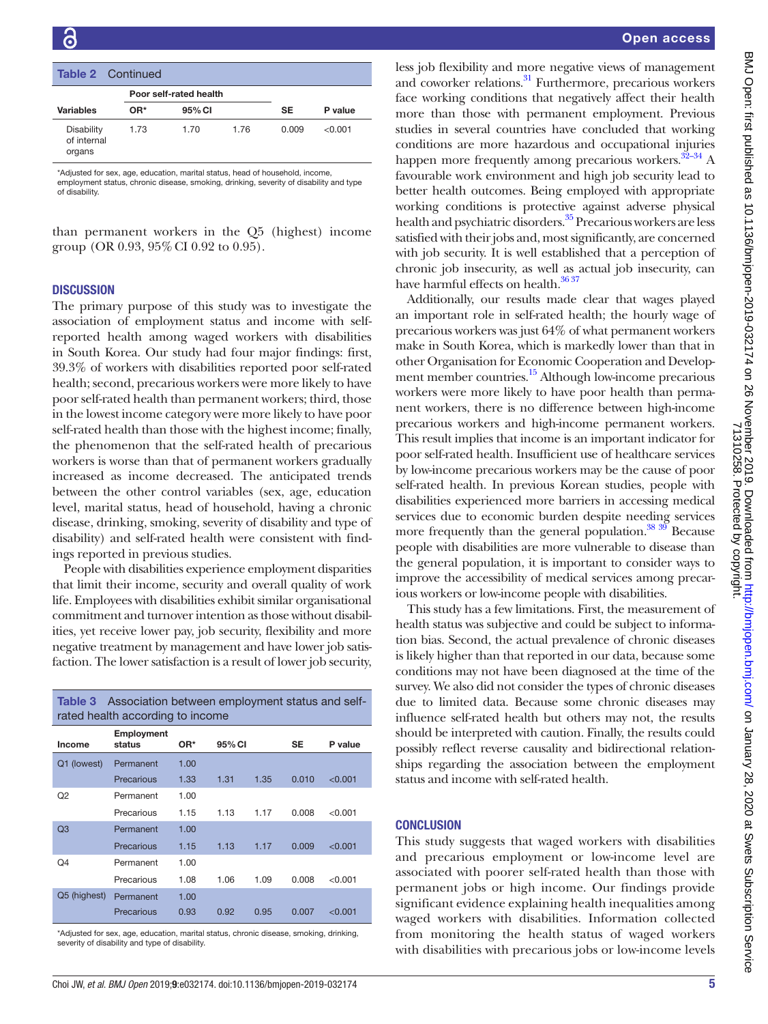| <b>Table 2</b> Continued            |                        |        |      |           |         |  |  |  |
|-------------------------------------|------------------------|--------|------|-----------|---------|--|--|--|
|                                     | Poor self-rated health |        |      |           |         |  |  |  |
| <b>Variables</b>                    | OR*                    | 95% CI |      | <b>SE</b> | P value |  |  |  |
| Disability<br>of internal<br>organs | 1.73                   | 1.70   | 1.76 | 0.009     | < 0.001 |  |  |  |

\*Adjusted for sex, age, education, marital status, head of household, income, employment status, chronic disease, smoking, drinking, severity of disability and type of disability.

than permanent workers in the Q5 (highest) income group (OR 0.93, 95%CI 0.92 to 0.95).

#### **DISCUSSION**

The primary purpose of this study was to investigate the association of employment status and income with selfreported health among waged workers with disabilities in South Korea. Our study had four major findings: first, 39.3% of workers with disabilities reported poor self-rated health; second, precarious workers were more likely to have poor self-rated health than permanent workers; third, those in the lowest income category were more likely to have poor self-rated health than those with the highest income; finally, the phenomenon that the self-rated health of precarious workers is worse than that of permanent workers gradually increased as income decreased. The anticipated trends between the other control variables (sex, age, education level, marital status, head of household, having a chronic disease, drinking, smoking, severity of disability and type of disability) and self-rated health were consistent with findings reported in previous studies.

People with disabilities experience employment disparities that limit their income, security and overall quality of work life. Employees with disabilities exhibit similar organisational commitment and turnover intention as those without disabilities, yet receive lower pay, job security, flexibility and more negative treatment by management and have lower job satisfaction. The lower satisfaction is a result of lower job security,

<span id="page-4-0"></span>

| <b>Table 3</b> Association between employment status and self-<br>rated health according to income |                             |      |        |      |       |         |  |  |
|----------------------------------------------------------------------------------------------------|-----------------------------|------|--------|------|-------|---------|--|--|
| Income                                                                                             | <b>Employment</b><br>status | OR*  | 95% CI |      | SE    | P value |  |  |
| Q1 (lowest)                                                                                        | Permanent                   | 1.00 |        |      |       |         |  |  |
|                                                                                                    | Precarious                  | 1.33 | 1.31   | 1.35 | 0.010 | < 0.001 |  |  |
| O <sub>2</sub>                                                                                     | Permanent                   | 1.00 |        |      |       |         |  |  |
|                                                                                                    | Precarious                  | 1.15 | 1.13   | 1.17 | 0.008 | < 0.001 |  |  |
| Q3                                                                                                 | Permanent                   | 1.00 |        |      |       |         |  |  |
|                                                                                                    | Precarious                  | 1.15 | 1.13   | 1.17 | 0.009 | < 0.001 |  |  |
| Q <sub>4</sub>                                                                                     | Permanent                   | 1.00 |        |      |       |         |  |  |
|                                                                                                    | Precarious                  | 1.08 | 1.06   | 1.09 | 0.008 | < 0.001 |  |  |
| Q5 (highest)                                                                                       | Permanent                   | 1.00 |        |      |       |         |  |  |
|                                                                                                    | Precarious                  | 0.93 | 0.92   | 0.95 | 0.007 | < 0.001 |  |  |
|                                                                                                    |                             |      |        |      |       |         |  |  |

\*Adjusted for sex, age, education, marital status, chronic disease, smoking, drinking, severity of disability and type of disability.

less job flexibility and more negative views of management and coworker relations.<sup>31</sup> Furthermore, precarious workers face working conditions that negatively affect their health more than those with permanent employment. Previous studies in several countries have concluded that working conditions are more hazardous and occupational injuries happen more frequently among precarious workers. $32-34$  A favourable work environment and high job security lead to better health outcomes. Being employed with appropriate working conditions is protective against adverse physical health and psychiatric disorders.<sup>35</sup> Precarious workers are less satisfied with their jobs and, most significantly, are concerned with job security. It is well established that a perception of chronic job insecurity, as well as actual job insecurity, can have harmful effects on health.<sup>36 37</sup>

Additionally, our results made clear that wages played an important role in self-rated health; the hourly wage of precarious workers was just 64% of what permanent workers make in South Korea, which is markedly lower than that in other Organisation for Economic Cooperation and Development member countries.<sup>15</sup> Although low-income precarious workers were more likely to have poor health than permanent workers, there is no difference between high-income precarious workers and high-income permanent workers. This result implies that income is an important indicator for poor self-rated health. Insufficient use of healthcare services by low-income precarious workers may be the cause of poor self-rated health. In previous Korean studies, people with disabilities experienced more barriers in accessing medical services due to economic burden despite needing services more frequently than the general population.<sup>[38 39](#page-5-25)</sup> Because people with disabilities are more vulnerable to disease than the general population, it is important to consider ways to improve the accessibility of medical services among precarious workers or low-income people with disabilities.

This study has a few limitations. First, the measurement of health status was subjective and could be subject to information bias. Second, the actual prevalence of chronic diseases is likely higher than that reported in our data, because some conditions may not have been diagnosed at the time of the survey. We also did not consider the types of chronic diseases due to limited data. Because some chronic diseases may influence self-rated health but others may not, the results should be interpreted with caution. Finally, the results could possibly reflect reverse causality and bidirectional relationships regarding the association between the employment status and income with self-rated health.

#### **CONCLUSION**

This study suggests that waged workers with disabilities and precarious employment or low-income level are associated with poorer self-rated health than those with permanent jobs or high income. Our findings provide significant evidence explaining health inequalities among waged workers with disabilities. Information collected from monitoring the health status of waged workers with disabilities with precarious jobs or low-income levels